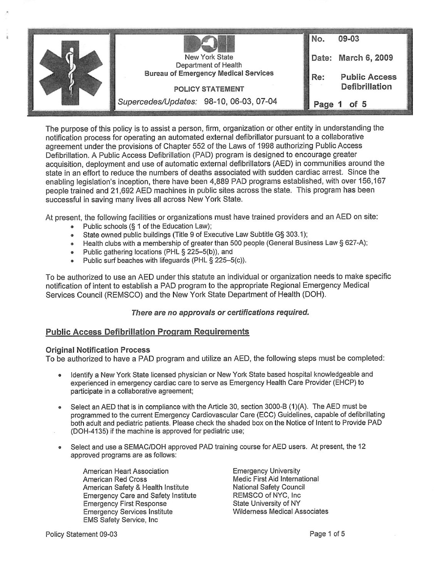

The purpose of this policy is to assist a person, firm, organization or other entity in understanding the notification process for operating an automated external defibriliator pursuant to a collaborative agreement under the provisions of Chapter 552 of the Laws of 1998 authorizing Public Access Defibriilation. A Public Access Defibriilation (PAD) program is designed to encourage greater acquisition, deployment and use of automatic external defibrillators (AED) in communities around the state in an effort to reduce the numbers of deaths associated with sudden cardiac arrest. Since the enabling legislation's inception, there have been 4,889 PAD programs established, with over 156,167 people trained and 21,692 AED machines in public sites across the state. This program has been successful in saving many lives all across New York State.

At present, the following facilities or organizations must have trained providers and an AED on site:

- •Public schools (§ 1 of the Education Law);
- •State owned public buildings (Title 9 of Executive Law Subtitle G§ 303.1);
- $\bullet$ Health clubs with a membership of greater than 500 people (General Business Law § 627-A);
- Public gathering locations (PHL § 225-5(b)), and
	- •Public surf beaches with lifeguards (PHL § 225-5{c)).

To be authorized to use an AED under this statute an individuai or organization needs to make specific notification of intent to establish a PAD program to the appropriate Regionai Emergency Medical Services Council (REMSCO) and the New York State Department of Health (DOH).

### There are no approvals or certifications required.

## Public Access Defibriilation Program Requirements

### Original Notification Process

To be authorized to have a PAD program and utilize an AED, the following steps must be completed:

- • Identify a New York State licensed physician or New York State based hospitai knowledgeable and experienced in emergency cardiac care to serve as Emergency Health Care Provider (EHCP) to participate in a collaborative agreement;
- •Select an AED that is in compliance with the Article 30, section 3000-B (1)(A). The AED must be programmed to the current Emergency Cardiovascular Care (ECC) Guidelines, capable of defibrillating both adult and pediatric patients. Please check the shaded box on the Notice of Intent to Provide PAD (DOH-4135) if the machine is approved for pediatric use;
- • Select and use a SEMAC/DOH approved PAD training course for AED users. At present, the 12 approved programs are as follows:

American Heart Association American Red Cross American Safety & Health Institute Emergency Care and Safety Institute Emergency First Response Emergency Services institute EMS Safety Service, inc

Emergency University Medic First Aid International National Safety Council REMSCO of NYC, Inc State University of NY Wilderness Medical Associates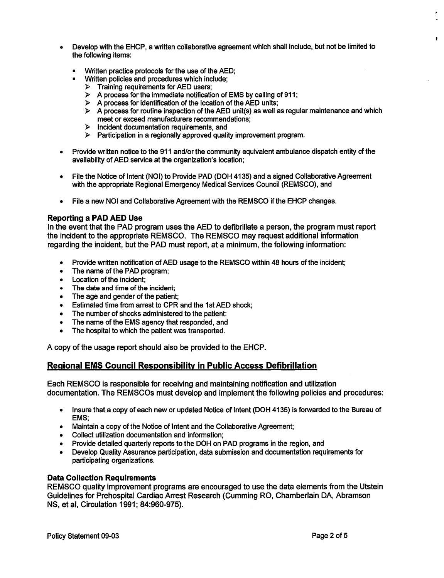- «Develop with the EHCP, a written collaborative agreement which shall include, but not be limited to the following items:
	- Written practice protocols for the use of the AED;
	- Written policies and procedures which include:
		- $\triangleright$  Training requirements for AED users:
	- $\triangleright$  A process for the immediate notification of EMS by calling of 911;
	- $\triangleright$  A process for identification of the location of the AED units;
	- $\triangleright$  A process for routine inspection of the AED unit(s) as well as regular maintenance and which meet or exceed manufacturers recommendations;
	- > Incident documentation requirements, and
	- > Participation in a regionally approved quality improvement program.
- • Provide written notice to the 911 and/or the community equivalent ambulance dispatch entity of the availability of AED service at the organization's location;
- • File the Notice of Intent (NOI) to Provide PAD (DOH 4135) and a signed Collaborative Agreement with the appropriate Regional Emergency Medical Services Council (REMSCO), and
- •File a new NOI and Collaborative Agreement with the REMSCO if the EHCP changes.

## Reporting a PAD AED Use

In the event that the PAD program uses the AED to defibrillate a person, the program must report the incident to the appropriate REMSCO. The REMSCO may request additional information regarding the incident, but the PAD must report, at a minimum, the following information:

- Provide written notification of AED usage to the REMSCO within 48 hours of the incident;
- The name of the PAD program;
- Location of the incident:
- The date and time of the incident;
- The age and gender of the patient:
- Estimated time from arrest to CPR and the 1st AED shock;
- The number of shocks administered to the patient:
- The name of the EMS agency that responded, and
- The hospital to which the patient was transported.

A copy of the usage report should also be provided to the EHCP.

## Regional EMS Council Responsibility in Public Access Defibriliation

Each REMSCO is responsible for receiving and maintaining notification and utilization documentation. The REMSCOs must develop and implement the following policies and procedures:

- • Insure that a copy of each new or updated Notice of Intent (DOH 4135) is forwarded to the Bureau of EMS;
- •Maintain a copy of the Notice of Intent and the Collaborative Agreement;
- Collect utilization documentation and information;
- •Provide detailed quarterly reports to the DOH on PAD programs in the region, and
- • Develop Quality Assurance participation, data submission and documentation requirements for participating organizations.

## Data Collection Requirements

REMSCO quality improvement programs are encouraged to use the data elements from the Utstein Guidelines for Prehospital Cardiac Arrest Research (Cumming RO, Chamberlain DA, Abramson NS, et al. Circulation 1991; 84:960-975).

 $\bullet$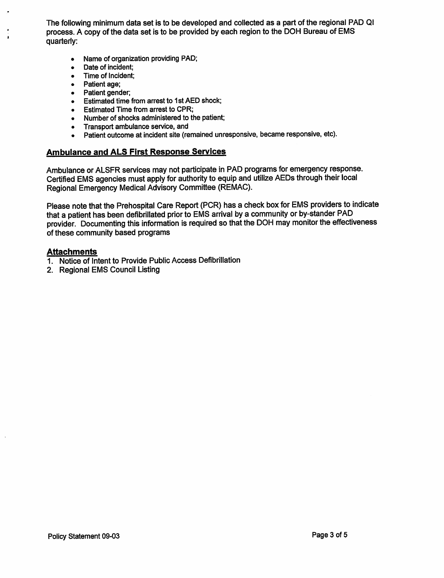The following minimum data set is to be developed and collected as a part of the regional PAD Ql process. A copy of the data set is to be provided by each region to the DOH Bureau of EMS quarterly:

- Name of organization providing PAD;  $\bullet$
- $\bullet$ Date of incident;
- Time of Incident;  $\bullet$
- Patient age;  $\bullet$

 $\mathbf{r}$ 

- Patient gender;  $\bullet$
- Estimated time from arrest to 1st AED shock;  $\bullet$
- Estimated Time from arrest to CPR;
- Number of shocks administered to the patient;  $\bullet$
- Transport ambulance service, and  $\bullet$
- Patient outcome at incident site (remained unresponsive, became responsive, etc).  $\bullet$

# Ambulance and ALS First Response Services

Ambulance or ALSFR services may not participate in PAD programs for emergency response. Certified EMS agencies must apply for authority to equip and utilize AEDs through their local Regional Emergency Medical Advisory Committee (REMAC).

Please note that the Prehospital Care Report (PCR) has a check box for EMS providers to indicate that a patient has been defibrillated prior to EMS arrival by a community or by-stander PAD provider. Documenting this information is required so that the DOH may monitor the effectiveness of these community based programs

## Attachments

- 1. Notice of Intent to Provide Public Access Defibrillation
- 2. Regional EMS Council Listing